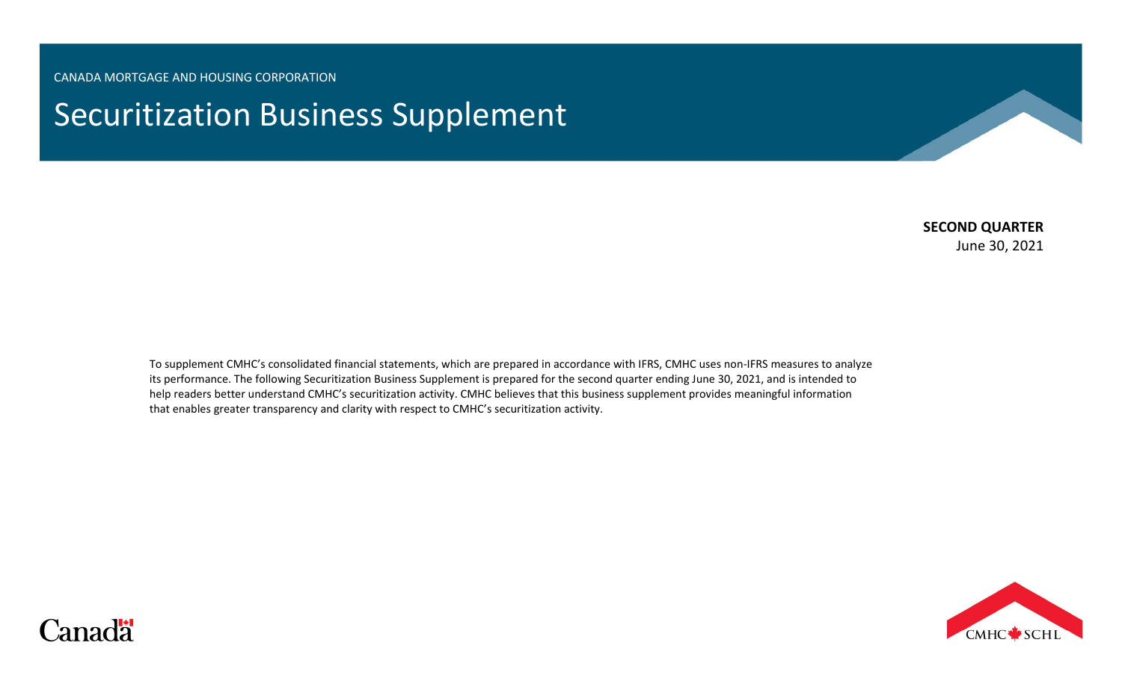CANADA MORTGAGE AND HOUSING CORPORATION

# Securitization Business Supplement

## **SECOND QUARTER**

June 30, 2021

To supplement CMHC's consolidated financial statements, which are prepared in accordance with IFRS, CMHC uses non-IFRS measures to analyze its performance. The following Securitization Business Supplement is prepared for the second quarter ending June 30, 2021, and is intended to help readers better understand CMHC's securitization activity. CMHC believes that this business supplement provides meaningful information that enables greater transparency and clarity with respect to CMHC's securitization activity.



# Canadä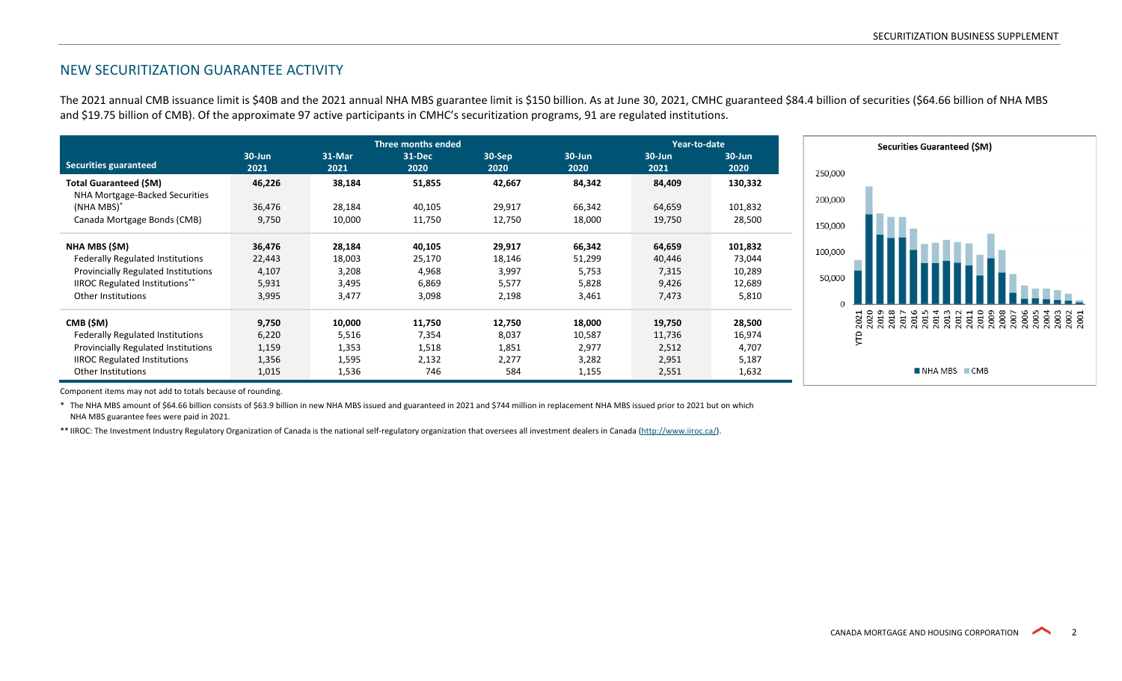#### NEW SECURITIZATION GUARANTEE ACTIVITY

The 2021 annual CMB issuance limit is \$40B and the 2021 annual NHA MBS guarantee limit is \$150 billion. As at June 30, 2021, CMHC guaranteed \$84.4 billion of securities (\$64.66 billion of NHA MBS and \$19.75 billion of CMB). Of the approximate 97 active participants in CMHC's securitization programs, 91 are regulated institutions.

|                                                                |                    | <b>Three months ended</b> |                |                |                    |                    | Year-to-date       |  |  |
|----------------------------------------------------------------|--------------------|---------------------------|----------------|----------------|--------------------|--------------------|--------------------|--|--|
| <b>Securities guaranteed</b>                                   | $30 - Jun$<br>2021 | 31-Mar<br>2021            | 31-Dec<br>2020 | 30-Sep<br>2020 | $30 - Jun$<br>2020 | $30 - Jun$<br>2021 | $30 - Jun$<br>2020 |  |  |
| <b>Total Guaranteed (SM)</b><br>NHA Mortgage-Backed Securities | 46,226             | 38,184                    | 51,855         | 42,667         | 84,342             | 84,409             | 130,332            |  |  |
| (NHA MBS) <sup>*</sup>                                         | 36.476             | 28,184                    | 40,105         | 29,917         | 66,342             | 64,659             | 101,832            |  |  |
| Canada Mortgage Bonds (CMB)                                    | 9,750              | 10,000                    | 11,750         | 12,750         | 18,000             | 19,750             | 28,500             |  |  |
| NHA MBS (\$M)                                                  | 36,476             | 28,184                    | 40,105         | 29,917         | 66,342             | 64,659             | 101,832            |  |  |
| <b>Federally Regulated Institutions</b>                        | 22,443             | 18,003                    | 25,170         | 18,146         | 51,299             | 40,446             | 73,044             |  |  |
| <b>Provincially Regulated Institutions</b>                     | 4,107              | 3,208                     | 4,968          | 3,997          | 5,753              | 7,315              | 10,289             |  |  |
| <b>IIROC Regulated Institutions**</b>                          | 5,931              | 3,495                     | 6,869          | 5,577          | 5,828              | 9,426              | 12,689             |  |  |
| Other Institutions                                             | 3,995              | 3,477                     | 3,098          | 2,198          | 3,461              | 7,473              | 5,810              |  |  |
| CMB (\$M)                                                      | 9,750              | 10,000                    | 11,750         | 12,750         | 18,000             | 19,750             | 28,500             |  |  |
| <b>Federally Regulated Institutions</b>                        | 6,220              | 5,516                     | 7,354          | 8,037          | 10,587             | 11,736             | 16,974             |  |  |
| <b>Provincially Regulated Institutions</b>                     | 1,159              | 1,353                     | 1,518          | 1,851          | 2,977              | 2,512              | 4,707              |  |  |
| <b>IIROC Regulated Institutions</b>                            | 1,356              | 1,595                     | 2,132          | 2,277          | 3,282              | 2,951              | 5,187              |  |  |
| <b>Other Institutions</b>                                      | 1,015              | 1,536                     | 746            | 584            | 1,155              | 2,551              | 1,632              |  |  |



Component items may not add to totals because of rounding.

\* The NHA MBS amount of \$64.66 billion consists of \$63.9 billion in new NHA MBS issued and guaranteed in 2021 and \$744 million in replacement NHA MBS issued prior to 2021 but on which NHA MBS guarantee fees were paid in 2021.

\*\* IIROC: The Investment Industry Regulatory Organization of Canada is the national self-regulatory organization that oversees all investment dealers in Canada [\(http://www.iiroc.ca/\)](http://www.iiroc.ca/).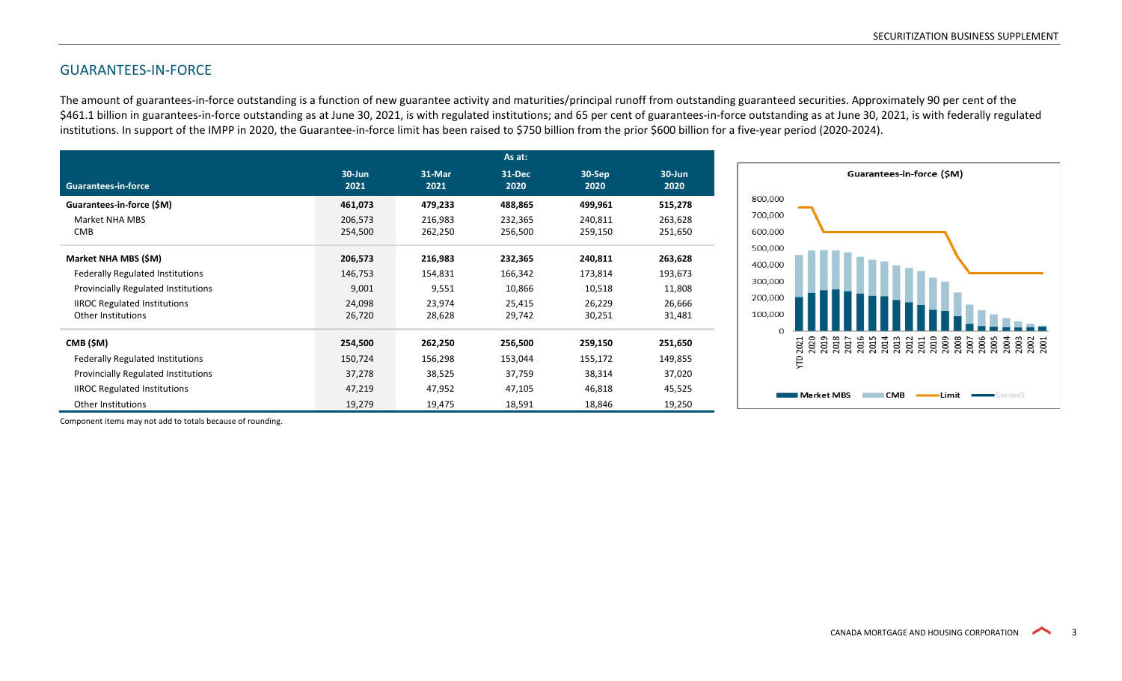## GUARANTEES-IN-FORCE

The amount of guarantees-in-force outstanding is a function of new guarantee activity and maturities/principal runoff from outstanding guaranteed securities. Approximately 90 per cent of the \$461.1 billion in guarantees-in-force outstanding as at June 30, 2021, is with regulated institutions; and 65 per cent of guarantees-in-force outstanding as at June 30, 2021, is with federally regulated institutions. In support of the IMPP in 2020, the Guarantee-in-force limit has been raised to \$750 billion from the prior \$600 billion for a five-year period (2020-2024).

|                                            |                    |                | As at:         |                   |                    |
|--------------------------------------------|--------------------|----------------|----------------|-------------------|--------------------|
| <b>Guarantees-in-force</b>                 | $30 - Jun$<br>2021 | 31-Mar<br>2021 | 31-Dec<br>2020 | $30-$ Sep<br>2020 | $30 - Jun$<br>2020 |
| Guarantees-in-force (\$M)                  | 461,073            | 479,233        | 488,865        | 499,961           | 515,278            |
| Market NHA MBS                             | 206,573            | 216,983        | 232,365        | 240,811           | 263,628            |
| <b>CMB</b>                                 | 254,500            | 262,250        | 256,500        | 259,150           | 251,650            |
| Market NHA MBS (\$M)                       | 206,573            | 216,983        | 232,365        | 240,811           | 263,628            |
| <b>Federally Regulated Institutions</b>    | 146,753            | 154,831        | 166,342        | 173,814           | 193,673            |
| <b>Provincially Regulated Institutions</b> | 9,001              | 9,551          | 10,866         | 10,518            | 11,808             |
| <b>IIROC Regulated Institutions</b>        | 24,098             | 23,974         | 25,415         | 26,229            | 26,666             |
| <b>Other Institutions</b>                  | 26,720             | 28,628         | 29,742         | 30,251            | 31,481             |
| CMB (\$M)                                  | 254,500            | 262,250        | 256,500        | 259,150           | 251,650            |
| Federally Regulated Institutions           | 150,724            | 156,298        | 153,044        | 155,172           | 149,855            |
| Provincially Regulated Institutions        | 37,278             | 38,525         | 37,759         | 38,314            | 37,020             |
| <b>IIROC Regulated Institutions</b>        | 47,219             | 47,952         | 47,105         | 46,818            | 45,525             |
| Other Institutions                         | 19,279             | 19,475         | 18,591         | 18,846            | 19,250             |

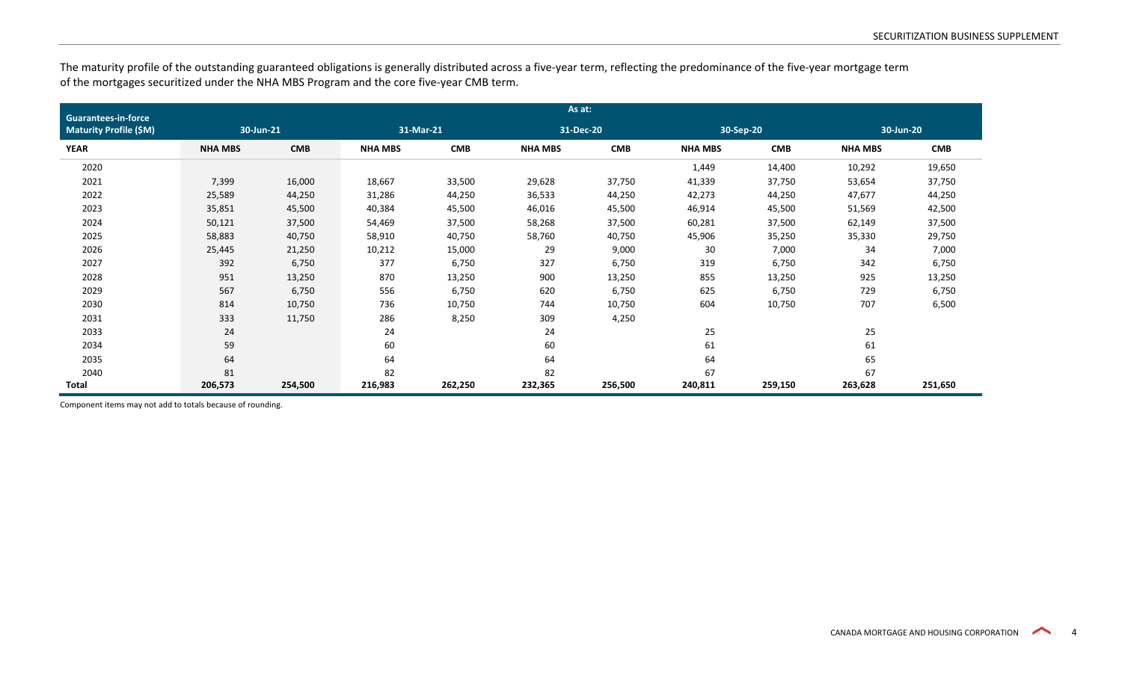The maturity profile of the outstanding guaranteed obligations is generally distributed across a five-year term, reflecting the predominance of the five-year mortgage term of the mortgages securitized under the NHA MBS Program and the core five-year CMB term.

| <b>Guarantees-in-force</b>    | As at:         |            |                |            |                |            |                |            |                |            |  |  |
|-------------------------------|----------------|------------|----------------|------------|----------------|------------|----------------|------------|----------------|------------|--|--|
| <b>Maturity Profile (\$M)</b> |                | 30-Jun-21  |                | 31-Mar-21  |                | 31-Dec-20  |                | 30-Sep-20  |                | 30-Jun-20  |  |  |
| <b>YEAR</b>                   | <b>NHA MBS</b> | <b>CMB</b> | <b>NHA MBS</b> | <b>CMB</b> | <b>NHA MBS</b> | <b>CMB</b> | <b>NHA MBS</b> | <b>CMB</b> | <b>NHA MBS</b> | <b>CMB</b> |  |  |
| 2020                          |                |            |                |            |                |            | 1,449          | 14,400     | 10,292         | 19,650     |  |  |
| 2021                          | 7,399          | 16,000     | 18,667         | 33,500     | 29,628         | 37,750     | 41,339         | 37,750     | 53,654         | 37,750     |  |  |
| 2022                          | 25,589         | 44,250     | 31,286         | 44,250     | 36,533         | 44,250     | 42,273         | 44,250     | 47,677         | 44,250     |  |  |
| 2023                          | 35,851         | 45,500     | 40,384         | 45,500     | 46,016         | 45,500     | 46,914         | 45,500     | 51,569         | 42,500     |  |  |
| 2024                          | 50,121         | 37,500     | 54,469         | 37,500     | 58,268         | 37,500     | 60,281         | 37,500     | 62,149         | 37,500     |  |  |
| 2025                          | 58,883         | 40,750     | 58,910         | 40,750     | 58,760         | 40,750     | 45,906         | 35,250     | 35,330         | 29,750     |  |  |
| 2026                          | 25,445         | 21,250     | 10,212         | 15,000     | 29             | 9,000      | 30             | 7,000      | 34             | 7,000      |  |  |
| 2027                          | 392            | 6,750      | 377            | 6,750      | 327            | 6,750      | 319            | 6,750      | 342            | 6,750      |  |  |
| 2028                          | 951            | 13,250     | 870            | 13,250     | 900            | 13,250     | 855            | 13,250     | 925            | 13,250     |  |  |
| 2029                          | 567            | 6,750      | 556            | 6,750      | 620            | 6,750      | 625            | 6,750      | 729            | 6,750      |  |  |
| 2030                          | 814            | 10,750     | 736            | 10,750     | 744            | 10,750     | 604            | 10,750     | 707            | 6,500      |  |  |
| 2031                          | 333            | 11,750     | 286            | 8,250      | 309            | 4,250      |                |            |                |            |  |  |
| 2033                          | 24             |            | 24             |            | 24             |            | 25             |            | 25             |            |  |  |
| 2034                          | 59             |            | 60             |            | 60             |            | 61             |            | 61             |            |  |  |
| 2035                          | 64             |            | 64             |            | 64             |            | 64             |            | 65             |            |  |  |
| 2040                          | 81             |            | 82             |            | 82             |            | 67             |            | 67             |            |  |  |
| Total                         | 206,573        | 254,500    | 216,983        | 262,250    | 232,365        | 256,500    | 240,811        | 259,150    | 263,628        | 251,650    |  |  |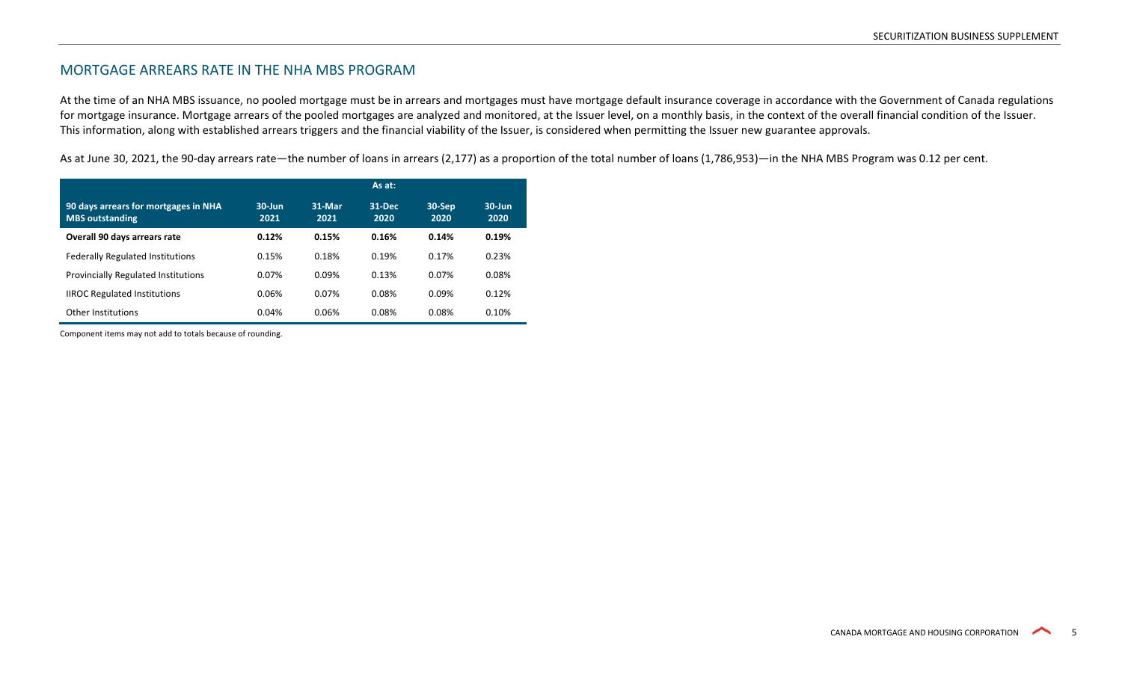#### MORTGAGE ARREARS RATE IN THE NHA MBS PROGRAM

At the time of an NHA MBS issuance, no pooled mortgage must be in arrears and mortgages must have mortgage default insurance coverage in accordance with the Government of Canada regulations for mortgage insurance. Mortgage arrears of the pooled mortgages are analyzed and monitored, at the Issuer level, on a monthly basis, in the context of the overall financial condition of the Issuer. This information, along with established arrears triggers and the financial viability of the Issuer, is considered when permitting the Issuer new guarantee approvals.

As at June 30, 2021, the 90-day arrears rate—the number of loans in arrears (2,177) as a proportion of the total number of loans (1,786,953)—in the NHA MBS Program was 0.12 per cent.

|                                                                | As at:            |                |                |                |                    |  |  |
|----------------------------------------------------------------|-------------------|----------------|----------------|----------------|--------------------|--|--|
| 90 days arrears for mortgages in NHA<br><b>MBS outstanding</b> | $30$ -Jun<br>2021 | 31-Mar<br>2021 | 31-Dec<br>2020 | 30-Sep<br>2020 | $30 - Jun$<br>2020 |  |  |
| Overall 90 days arrears rate                                   | 0.12%             | 0.15%          | 0.16%          | 0.14%          | 0.19%              |  |  |
| <b>Federally Regulated Institutions</b>                        | 0.15%             | 0.18%          | 0.19%          | 0.17%          | 0.23%              |  |  |
| <b>Provincially Regulated Institutions</b>                     | 0.07%             | 0.09%          | 0.13%          | 0.07%          | 0.08%              |  |  |
| <b>IIROC Regulated Institutions</b>                            | 0.06%             | 0.07%          | 0.08%          | 0.09%          | 0.12%              |  |  |
| Other Institutions                                             | 0.04%             | 0.06%          | 0.08%          | 0.08%          | 0.10%              |  |  |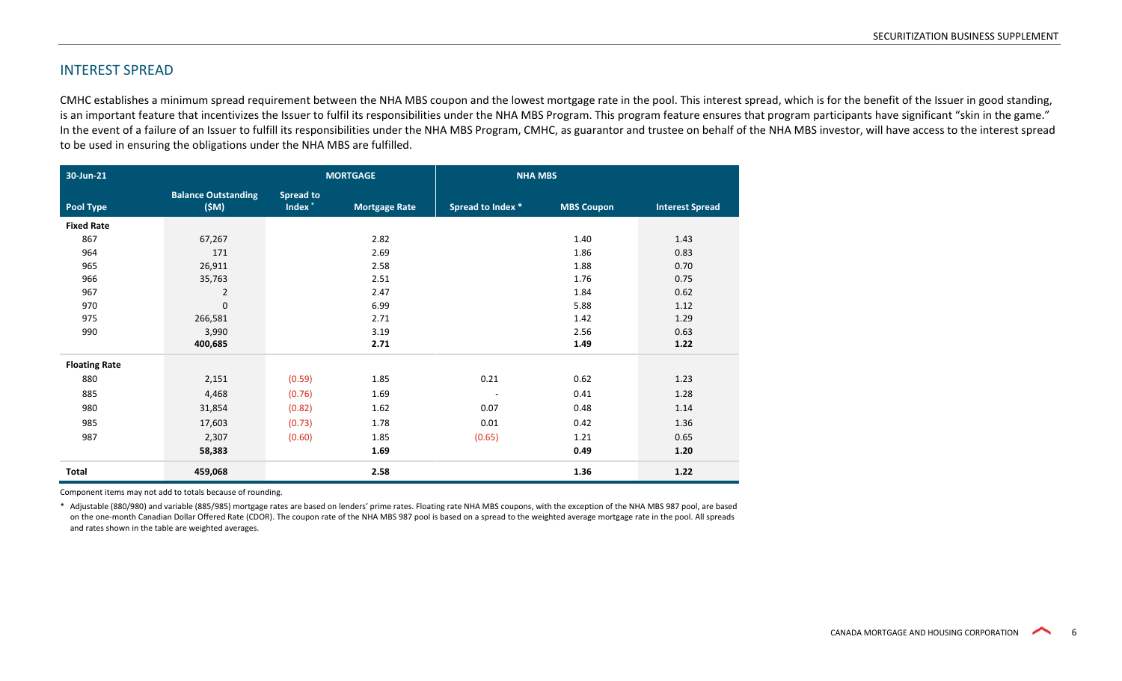#### INTEREST SPREAD

CMHC establishes a minimum spread requirement between the NHA MBS coupon and the lowest mortgage rate in the pool. This interest spread, which is for the benefit of the Issuer in good standing, is an important feature that incentivizes the Issuer to fulfil its responsibilities under the NHA MBS Program. This program feature ensures that program participants have significant "skin in the game." In the event of a failure of an Issuer to fulfill its responsibilities under the NHA MBS Program, CMHC, as guarantor and trustee on behalf of the NHA MBS investor, will have access to the interest spread to be used in ensuring the obligations under the NHA MBS are fulfilled.

| 30-Jun-21            |                                    | <b>MORTGAGE</b>                        |                      | <b>NHA MBS</b>           |                   |                        |
|----------------------|------------------------------------|----------------------------------------|----------------------|--------------------------|-------------------|------------------------|
| <b>Pool Type</b>     | <b>Balance Outstanding</b><br>(SM) | <b>Spread to</b><br>Index <sup>*</sup> | <b>Mortgage Rate</b> | Spread to Index *        | <b>MBS Coupon</b> | <b>Interest Spread</b> |
| <b>Fixed Rate</b>    |                                    |                                        |                      |                          |                   |                        |
| 867                  | 67,267                             |                                        | 2.82                 |                          | 1.40              | 1.43                   |
| 964                  | 171                                |                                        | 2.69                 |                          | 1.86              | 0.83                   |
| 965                  | 26,911                             |                                        | 2.58                 |                          | 1.88              | 0.70                   |
| 966                  | 35,763                             |                                        | 2.51                 |                          | 1.76              | 0.75                   |
| 967                  | $\overline{2}$                     |                                        | 2.47                 |                          | 1.84              | 0.62                   |
| 970                  | $\mathbf 0$                        |                                        | 6.99                 |                          | 5.88              | 1.12                   |
| 975                  | 266,581                            |                                        | 2.71                 |                          | 1.42              | 1.29                   |
| 990                  | 3,990                              |                                        | 3.19                 |                          | 2.56              | 0.63                   |
|                      | 400,685                            |                                        | 2.71                 |                          | 1.49              | 1.22                   |
| <b>Floating Rate</b> |                                    |                                        |                      |                          |                   |                        |
| 880                  | 2,151                              | (0.59)                                 | 1.85                 | 0.21                     | 0.62              | 1.23                   |
| 885                  | 4,468                              | (0.76)                                 | 1.69                 | $\overline{\phantom{a}}$ | 0.41              | 1.28                   |
| 980                  | 31,854                             | (0.82)                                 | 1.62                 | 0.07                     | 0.48              | 1.14                   |
| 985                  | 17,603                             | (0.73)                                 | 1.78                 | 0.01                     | 0.42              | 1.36                   |
| 987                  | 2,307                              | (0.60)                                 | 1.85                 | (0.65)                   | 1.21              | 0.65                   |
|                      | 58,383                             |                                        | 1.69                 |                          | 0.49              | 1.20                   |
| Total                | 459,068                            |                                        | 2.58                 |                          | 1.36              | 1.22                   |

Component items may not add to totals because of rounding.

\* Adjustable (880/980) and variable (885/985) mortgage rates are based on lenders' prime rates. Floating rate NHA MBS coupons, with the exception of the NHA MBS 987 pool, are based on the one-month Canadian Dollar Offered Rate (CDOR). The coupon rate of the NHA MBS 987 pool is based on a spread to the weighted average mortgage rate in the pool. All spreads and rates shown in the table are weighted averages.